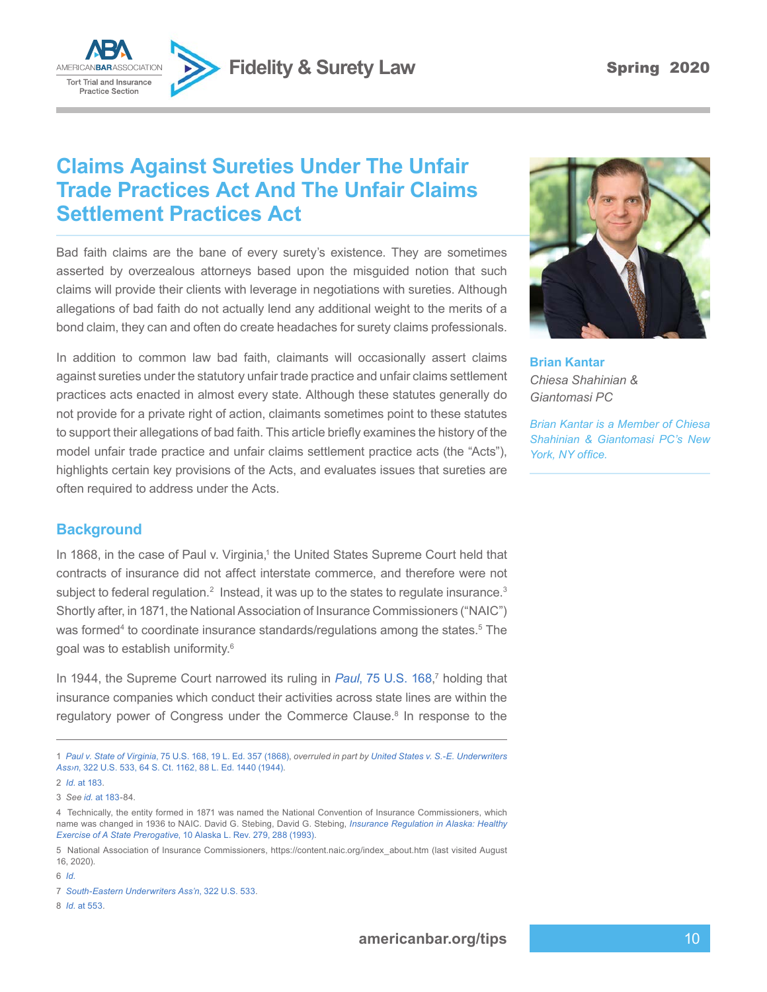**Fidelity & Surety Law Spring 2020** 



# **Claims Against Sureties Under The Unfair Trade Practices Act And The Unfair Claims Settlement Practices Act**

Bad faith claims are the bane of every surety's existence. They are sometimes asserted by overzealous attorneys based upon the misguided notion that such claims will provide their clients with leverage in negotiations with sureties. Although allegations of bad faith do not actually lend any additional weight to the merits of a bond claim, they can and often do create headaches for surety claims professionals.

In addition to common law bad faith, claimants will occasionally assert claims against sureties under the statutory unfair trade practice and unfair claims settlement practices acts enacted in almost every state. Although these statutes generally do not provide for a private right of action, claimants sometimes point to these statutes to support their allegations of bad faith. This article briefly examines the history of the model unfair trade practice and unfair claims settlement practice acts (the "Acts"), highlights certain key provisions of the Acts, and evaluates issues that sureties are often required to address under the Acts.

### **Background**

In 1868, in the case of Paul v. Virginia,<sup>1</sup> the United States Supreme Court held that contracts of insurance did not affect interstate commerce, and therefore were not subject to federal regulation.<sup>2</sup> Instead, it was up to the states to regulate insurance.<sup>3</sup> Shortly after, in 1871, the National Association of Insurance Commissioners ("NAIC") was formed<sup>4</sup> to coordinate insurance standards/regulations among the states.<sup>5</sup> The goal was to establish uniformity.6

In 1944, the Supreme Court narrowed its ruling in *Paul*[, 75 U.S. 168](https://www.westlaw.com/Document/Ib4784cc9b5f811d9bc61beebb95be672/View/FullText.html?transitionType=Default&contextData=(sc.Default)&VR=3.0&RS=da3.0), 7 holding that insurance companies which conduct their activities across state lines are within the regulatory power of Congress under the Commerce Clause.<sup>8</sup> In response to the

6 *[Id.](https://www.westlaw.com/Document/I44ec3cf1644711dbbe1cf2d29fe2afe6/View/FullText.html?transitionType=Default&contextData=(sc.Default)&VR=3.0&RS=da3.0)*



**Brian Kantar** *Chiesa Shahinian & Giantomasi PC*

*Brian Kantar is a Member of Chiesa Shahinian & Giantomasi PC's New York, NY office.*

<sup>1</sup> *Paul v. State of Virginia*[, 75 U.S. 168, 19 L. Ed. 357 \(1868\)](https://www.westlaw.com/Document/Ib4784cc9b5f811d9bc61beebb95be672/View/FullText.html?transitionType=Default&contextData=(sc.Default)&VR=3.0&RS=da3.0), *overruled in part by [United States v. S.-E. Underwriters](https://www.westlaw.com/Document/I982394399cc111d9bc61beebb95be672/View/FullText.html?transitionType=Default&contextData=(sc.Default)&VR=3.0&RS=da3.0) Ass›n*[, 322 U.S. 533, 64 S. Ct. 1162, 88 L. Ed. 1440 \(1944\)](https://www.westlaw.com/Document/I982394399cc111d9bc61beebb95be672/View/FullText.html?transitionType=Default&contextData=(sc.Default)&VR=3.0&RS=da3.0).

<sup>2</sup> *Id.* [at 183](https://www.westlaw.com/Document/Ib4784cc9b5f811d9bc61beebb95be672/View/FullText.html?transitionType=Default&contextData=(sc.Default)&VR=3.0&RS=da3.0&fragmentIdentifier=co_pp_sp_780_183).

<sup>3</sup> *See id.* [at 183](https://www.westlaw.com/Document/Ib4784cc9b5f811d9bc61beebb95be672/View/FullText.html?transitionType=Default&contextData=(sc.Default)&VR=3.0&RS=da3.0&fragmentIdentifier=co_pp_sp_780_183)-84.

<sup>4</sup> Technically, the entity formed in 1871 was named the National Convention of Insurance Commissioners, which name was changed in 1936 to NAIC. David G. Stebing, David G. Stebing, *[Insurance Regulation in Alaska: Healthy](https://www.westlaw.com/Document/I44ec3cf1644711dbbe1cf2d29fe2afe6/View/FullText.html?transitionType=Default&contextData=(sc.Default)&VR=3.0&RS=da3.0&fragmentIdentifier=co_pp_sp_100168_288)  Exercise of A State Prerogative*[, 10 Alaska L. Rev. 279, 288 \(1993\).](https://www.westlaw.com/Document/I44ec3cf1644711dbbe1cf2d29fe2afe6/View/FullText.html?transitionType=Default&contextData=(sc.Default)&VR=3.0&RS=da3.0&fragmentIdentifier=co_pp_sp_100168_288)

<sup>5</sup> National Association of Insurance Commissioners, https://content.naic.org/index\_about.htm (last visited August 16, 2020).

<sup>7</sup> *[South-Eastern Underwriters Ass'n](https://www.westlaw.com/Document/I982394399cc111d9bc61beebb95be672/View/FullText.html?transitionType=Default&contextData=(sc.Default)&VR=3.0&RS=da3.0)*, 322 U.S. 533.

<sup>8</sup> *Id.* [at 553.](https://www.westlaw.com/Document/I982394399cc111d9bc61beebb95be672/View/FullText.html?transitionType=Default&contextData=(sc.Default)&VR=3.0&RS=da3.0&fragmentIdentifier=co_pp_sp_780_553)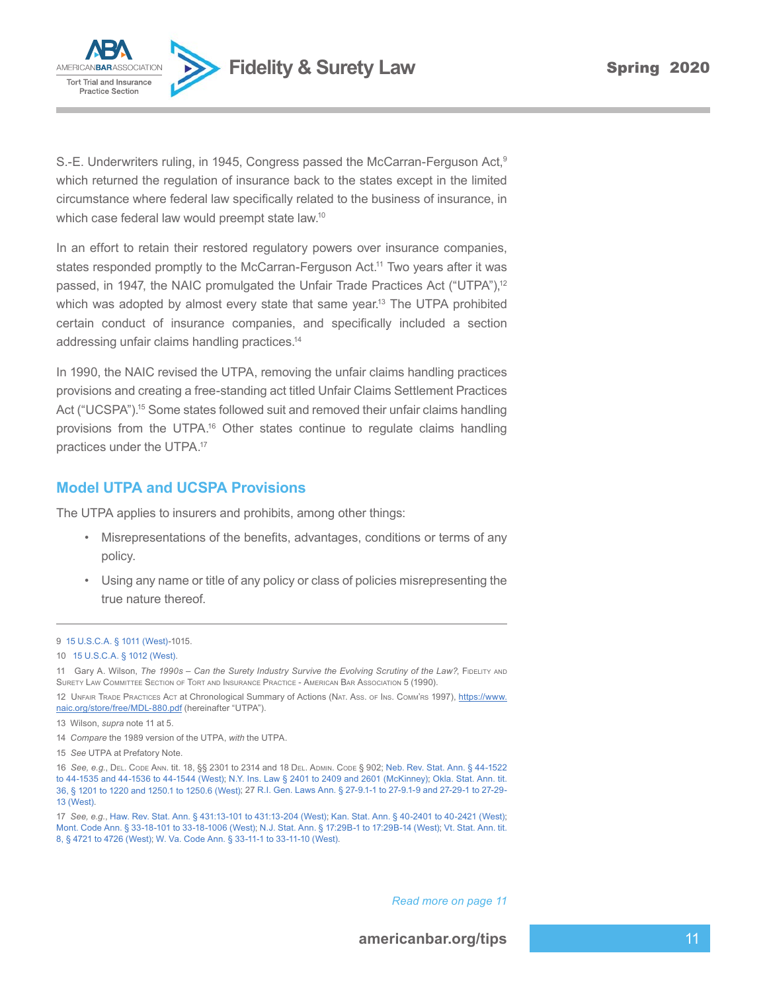

S.-E. Underwriters ruling, in 1945, Congress passed the McCarran-Ferguson Act,<sup>9</sup> which returned the regulation of insurance back to the states except in the limited circumstance where federal law specifically related to the business of insurance, in which case federal law would preempt state law.<sup>10</sup>

In an effort to retain their restored regulatory powers over insurance companies, states responded promptly to the McCarran-Ferguson Act.<sup>11</sup> Two years after it was passed, in 1947, the NAIC promulgated the Unfair Trade Practices Act ("UTPA"),<sup>12</sup> which was adopted by almost every state that same year.<sup>13</sup> The UTPA prohibited certain conduct of insurance companies, and specifically included a section addressing unfair claims handling practices.14

In 1990, the NAIC revised the UTPA, removing the unfair claims handling practices provisions and creating a free-standing act titled Unfair Claims Settlement Practices Act ("UCSPA").<sup>15</sup> Some states followed suit and removed their unfair claims handling provisions from the UTPA.<sup>16</sup> Other states continue to regulate claims handling practices under the UTPA.17

#### **Model UTPA and UCSPA Provisions**

The UTPA applies to insurers and prohibits, among other things:

- Misrepresentations of the benefits, advantages, conditions or terms of any policy.
- Using any name or title of any policy or class of policies misrepresenting the true nature thereof.

*Read more on page 11* 

<sup>9</sup> [15 U.S.C.A. § 1011 \(West\)](https://www.westlaw.com/Document/NC02FA340AFF711D8803AE0632FEDDFBF/View/FullText.html?transitionType=Default&contextData=(sc.Default)&VR=3.0&RS=da3.0)-1015.

<sup>10</sup> [15 U.S.C.A. § 1012 \(West\)](https://www.westlaw.com/Document/NBA098A80AFF711D8803AE0632FEDDFBF/View/FullText.html?transitionType=Default&contextData=(sc.Default)&VR=3.0&RS=da3.0).

<sup>11</sup> Gary A. Wilson, *The 1990s - Can the Surety Industry Survive the Evolving Scrutiny of the Law?*, Fidelity and Surety Law Committee Section of Tort and Insurance Practice - American Bar Association 5 (1990).

<sup>12</sup> UNFAIR TRADE PRACTICES ACT at Chronological Summary of Actions (NAT. Ass. OF INS. COMM'RS 1997), https://www. naic.org/store/free/MDL-880.pdf (hereinafter "UTPA").

<sup>13</sup> Wilson, *supra* note 11 at 5.

<sup>14</sup> *Compare* the 1989 version of the UTPA, *with* the UTPA.

<sup>15</sup> *See* UTPA at Prefatory Note.

<sup>16</sup> *See, e.g.*, Del. Code Ann. tit. 18, §§ 2301 to 2314 and 18 Del. Admin. Code § 902; [Neb. Rev. Stat. Ann. § 44-1522](https://www.westlaw.com/Document/NAE9D7A80AEC511DEA0C8A10D09B7A847/View/FullText.html?transitionType=Default&contextData=(sc.Default)&VR=3.0&RS=da3.0)  [to 44-1535 and 44-1536 to 44-1544 \(West\);](https://www.westlaw.com/Document/NAE9D7A80AEC511DEA0C8A10D09B7A847/View/FullText.html?transitionType=Default&contextData=(sc.Default)&VR=3.0&RS=da3.0) [N.Y. Ins. Law § 2401 to 2409 and 2601 \(McKinney\);](https://www.westlaw.com/Document/N898066F0E42511DEB7F0A4075A1D5136/View/FullText.html?transitionType=Default&contextData=(sc.Default)&VR=3.0&RS=da3.0) [Okla. Stat. Ann. tit.](https://www.westlaw.com/Document/N8820DF60C76D11DB8F04FB3E68C8F4C5/View/FullText.html?transitionType=Default&contextData=(sc.Default)&VR=3.0&RS=da3.0) [36, § 1201 to 1220 and 1250.1 to 1250.6 \(West\)](https://www.westlaw.com/Document/N8820DF60C76D11DB8F04FB3E68C8F4C5/View/FullText.html?transitionType=Default&contextData=(sc.Default)&VR=3.0&RS=da3.0); 27 R.I. Gen. Laws Ann. § 27-9.1-1 to [27-9.1-9](https://www.westlaw.com/Document/N36FF159033E011DCA31EE572C0396B40/View/FullText.html?transitionType=Default&contextData=(sc.Default)&VR=3.0&RS=da3.0) and 27-29-1 to 27-29- 13 [\(West\).](https://www.westlaw.com/Document/N36FF159033E011DCA31EE572C0396B40/View/FullText.html?transitionType=Default&contextData=(sc.Default)&VR=3.0&RS=da3.0)

<sup>17</sup> *See, e.g.*, Haw. Rev. Stat. Ann. § 431:13-101 to [431:13-204](https://www.westlaw.com/Document/NF297DFB04C5A11DDB03786E014444BA4/View/FullText.html?transitionType=Default&contextData=(sc.Default)&VR=3.0&RS=da3.0) (West); [Kan. Stat. Ann. § 40-2401 to 40-2421 \(West\)](https://www.westlaw.com/Document/N6BB401E0205D11DE9580A11C53F117FE/View/FullText.html?transitionType=Default&contextData=(sc.Default)&VR=3.0&RS=da3.0); Mont. Code Ann. § 33-18-101 to [33-18-1006](https://www.westlaw.com/Document/NF91DA1E0ADDD11DE9281B48006C33613/View/FullText.html?transitionType=Default&contextData=(sc.Default)&VR=3.0&RS=da3.0) (West); [N.J. Stat. Ann. § 17:29B-1 to 17:29B-14 \(West\);](https://www.westlaw.com/Document/N8BC963C0EF2511D99BC0AF502031754B/View/FullText.html?transitionType=Default&contextData=(sc.Default)&VR=3.0&RS=da3.0) [Vt. Stat. Ann. tit.](https://www.westlaw.com/Document/N9F0DF9C0A6A911DDBA3BBA27398753C7/View/FullText.html?transitionType=Default&contextData=(sc.Default)&VR=3.0&RS=da3.0) [8, § 4721 to 4726 \(West\);](https://www.westlaw.com/Document/N9F0DF9C0A6A911DDBA3BBA27398753C7/View/FullText.html?transitionType=Default&contextData=(sc.Default)&VR=3.0&RS=da3.0) [W. Va. Code Ann. § 33-11-1 to 33-11-10 \(West\).](https://www.westlaw.com/Document/NCCBDB3F01CBE11DBB9DDFCDEC3F85F30/View/FullText.html?transitionType=Default&contextData=(sc.Default)&VR=3.0&RS=da3.0)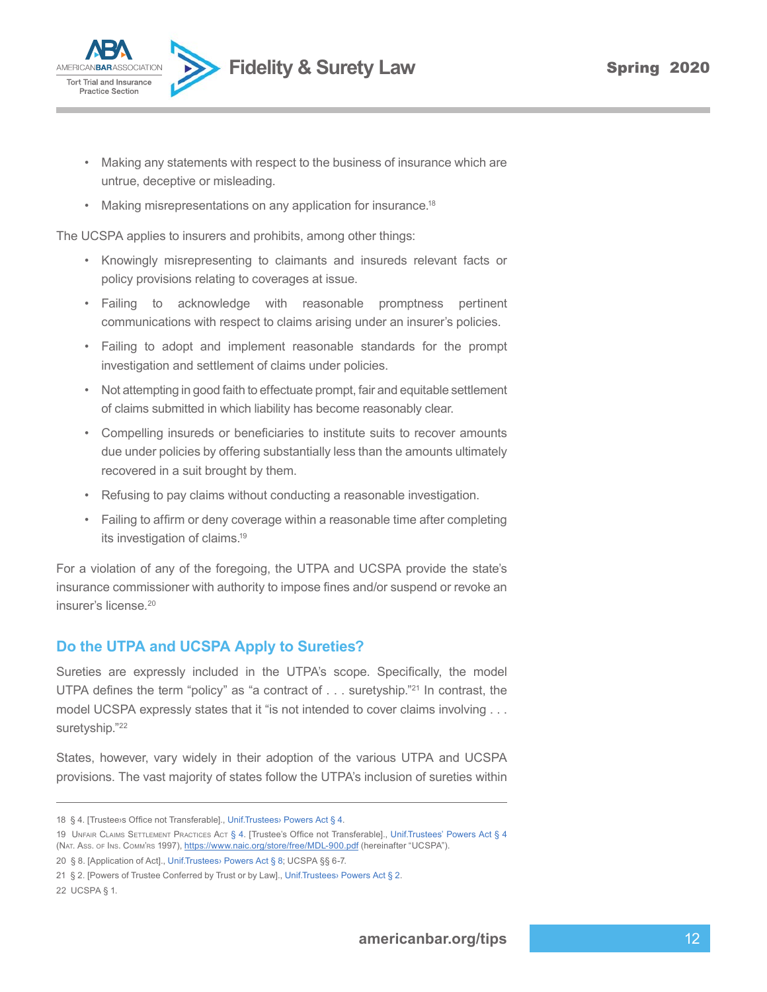

- Making any statements with respect to the business of insurance which are untrue, deceptive or misleading.
- Making misrepresentations on any application for insurance.<sup>18</sup>

The UCSPA applies to insurers and prohibits, among other things:

- Knowingly misrepresenting to claimants and insureds relevant facts or policy provisions relating to coverages at issue.
- Failing to acknowledge with reasonable promptness pertinent communications with respect to claims arising under an insurer's policies.
- Failing to adopt and implement reasonable standards for the prompt investigation and settlement of claims under policies.
- Not attempting in good faith to effectuate prompt, fair and equitable settlement of claims submitted in which liability has become reasonably clear.
- Compelling insureds or beneficiaries to institute suits to recover amounts due under policies by offering substantially less than the amounts ultimately recovered in a suit brought by them.
- Refusing to pay claims without conducting a reasonable investigation.
- Failing to affirm or deny coverage within a reasonable time after completing its investigation of claims.<sup>19</sup>

For a violation of any of the foregoing, the UTPA and UCSPA provide the state's insurance commissioner with authority to impose fines and/or suspend or revoke an insurer's license.20

### **Do the UTPA and UCSPA Apply to Sureties?**

Sureties are expressly included in the UTPA's scope. Specifically, the model UTPA defines the term "policy" as "a contract of . . . suretyship."<sup>21</sup> In contrast, the model UCSPA expressly states that it "is not intended to cover claims involving . . . suretyship."22

States, however, vary widely in their adoption of the various UTPA and UCSPA provisions. The vast majority of states follow the UTPA's inclusion of sureties within

<sup>18</sup> § 4. [Trustee›s Office not Transferable]., [Unif.Trustees› Powers Act § 4](https://www.westlaw.com/Document/N5713DCC0025811DD93B594B1C5A4C9CA/View/FullText.html?transitionType=Default&contextData=(sc.Default)&VR=3.0&RS=da3.0).

<sup>19</sup> UNFAIR CLAIMS SETTLEMENT PRACTICES ACT [§](https://www.westlaw.com/Document/N5713DCC0025811DD93B594B1C5A4C9CA/View/FullText.html?transitionType=Default&contextData=(sc.Default)&VR=3.0&RS=da3.0) 4. [Trustee's Office not Transferable]., [Unif.Trustees'](https://www.westlaw.com/Document/N5713DCC0025811DD93B594B1C5A4C9CA/View/FullText.html?transitionType=Default&contextData=(sc.Default)&VR=3.0&RS=da3.0) Powers Act § 4 (NAT. Ass. of Ins. Comm'rs 1997), https://www.naic.org/store/free/MDL-900.pdf (hereinafter "UCSPA").

<sup>20 § 8. [</sup>Application of Act]., [Unif.Trustees› Powers Act § 8;](https://www.westlaw.com/Document/N58871BD0025811DD93B594B1C5A4C9CA/View/FullText.html?transitionType=Default&contextData=(sc.Default)&VR=3.0&RS=da3.0) UCSPA §§ 6-7.

<sup>21</sup> § 2. [Powers of Trustee Conferred by Trust or by Law]., [Unif.Trustees› Powers Act § 2](https://www.westlaw.com/Document/N5329AA40025811DD93B594B1C5A4C9CA/View/FullText.html?transitionType=Default&contextData=(sc.Default)&VR=3.0&RS=da3.0).

<sup>22</sup> UCSPA § 1.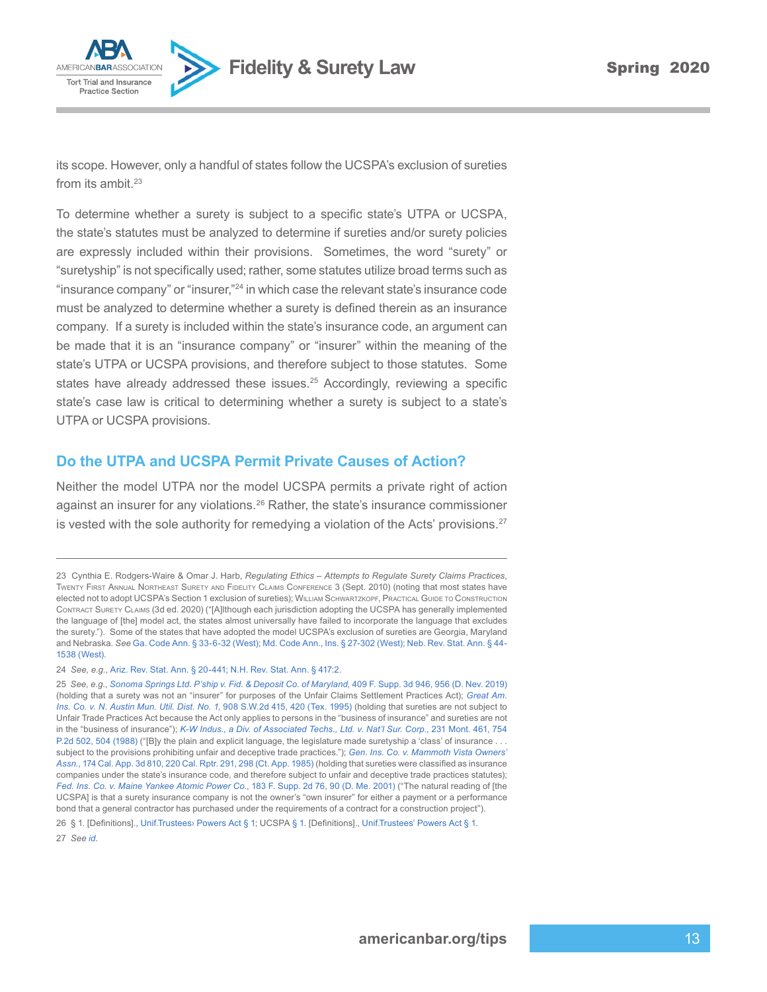

**AMERICANBAL** 

its scope. However, only a handful of states follow the UCSPA's exclusion of sureties from its ambit. $23$ 

To determine whether a surety is subject to a specific state's UTPA or UCSPA, the state's statutes must be analyzed to determine if sureties and/or surety policies are expressly included within their provisions. Sometimes, the word "surety" or "suretyship" is not specifically used; rather, some statutes utilize broad terms such as "insurance company" or "insurer,"24 in which case the relevant state's insurance code must be analyzed to determine whether a surety is defined therein as an insurance company. If a surety is included within the state's insurance code, an argument can be made that it is an "insurance company" or "insurer" within the meaning of the state's UTPA or UCSPA provisions, and therefore subject to those statutes. Some states have already addressed these issues.<sup>25</sup> Accordingly, reviewing a specific state's case law is critical to determining whether a surety is subject to a state's UTPA or UCSPA provisions.

#### **Do the UTPA and UCSPA Permit Private Causes of Action?**

Neither the model UTPA nor the model UCSPA permits a private right of action against an insurer for any violations.<sup>26</sup> Rather, the state's insurance commissioner is vested with the sole authority for remedying a violation of the Acts' provisions. $27$ 

<sup>23</sup> Cynthia E. Rodgers-Waire & Omar J. Harb, *Regulating Ethics – Attempts to Regulate Surety Claims Practices*, Twenty First Annual Northeast Surety and Fidelity Claims Conference 3 (Sept. 2010) (noting that most states have elected not to adopt UCSPA's Section 1 exclusion of sureties); WILLIAM SCHWARTZKOPF, PRACTICAL GUIDE TO CONSTRUCTION Contract Surety Claims (3d ed. 2020) ("[A]lthough each jurisdiction adopting the UCSPA has generally implemented the language of [the] model act, the states almost universally have failed to incorporate the language that excludes the surety."). Some of the states that have adopted the model UCSPA's exclusion of sureties are Georgia, Maryland and Nebraska. *See* Ga. Code Ann. § [33-6-32](https://www.westlaw.com/Document/NBCA309F0C02711DA9D2D8FAACC61A6A1/View/FullText.html?transitionType=Default&contextData=(sc.Default)&VR=3.0&RS=da3.0) (West); [Md. Code Ann., Ins. § 27-302 \(West\);](https://www.westlaw.com/Document/N95058170E5EE11E3A59999B304063FE1/View/FullText.html?transitionType=Default&contextData=(sc.Default)&VR=3.0&RS=da3.0) [Neb.](https://www.westlaw.com/Document/NB14B5C70AEC511DEA0C8A10D09B7A847/View/FullText.html?transitionType=Default&contextData=(sc.Default)&VR=3.0&RS=da3.0) Rev. Stat. Ann. § 44- 1538 [\(West\).](https://www.westlaw.com/Document/NB14B5C70AEC511DEA0C8A10D09B7A847/View/FullText.html?transitionType=Default&contextData=(sc.Default)&VR=3.0&RS=da3.0)

<sup>24</sup> *See, e.g.*, [Ariz. Rev. Stat. Ann. § 20-441](https://www.westlaw.com/Document/N8CD9EEB0716111DAA16E8D4AC7636430/View/FullText.html?transitionType=Default&contextData=(sc.Default)&VR=3.0&RS=da3.0); [N.H. Rev. Stat. Ann. § 417:2.](https://www.westlaw.com/Document/N76053FD0DACC11DAA31BC5CFE4C29E9B/View/FullText.html?transitionType=Default&contextData=(sc.Default)&VR=3.0&RS=da3.0)

<sup>25</sup> *See, e.g.*, *[Sonoma Springs Ltd. P'ship v. Fid. & Deposit Co. of Maryland](https://www.westlaw.com/Document/I7dd6fcd0c03211e99c7da5bca11408d2/View/FullText.html?transitionType=Default&contextData=(sc.Default)&VR=3.0&RS=da3.0&fragmentIdentifier=co_pp_sp_7903_956)*, 409 F. Supp. 3d 946, 956 (D. Nev. 2019) (holding that a surety was not an "insurer" for purposes of the Unfair Claims Settlement Practices Act); *[Great Am.](https://www.westlaw.com/Document/I4d235370e7c311d99439b076ef9ec4de/View/FullText.html?transitionType=Default&contextData=(sc.Default)&VR=3.0&RS=da3.0&fragmentIdentifier=co_pp_sp_713_420)  [Ins. Co. v. N. Austin Mun. Util. Dist. No. 1](https://www.westlaw.com/Document/I4d235370e7c311d99439b076ef9ec4de/View/FullText.html?transitionType=Default&contextData=(sc.Default)&VR=3.0&RS=da3.0&fragmentIdentifier=co_pp_sp_713_420)*, 908 S.W.2d 415, 420 (Tex. 1995) (holding that sureties are not subject to Unfair Trade Practices Act because the Act only applies to persons in the "business of insurance" and sureties are not in the "business of insurance"); *[K-W Indus., a Div. of Associated Techs., Ltd. v. Nat'l Sur. Corp.](https://www.westlaw.com/Document/I0631df40f3a711d99439b076ef9ec4de/View/FullText.html?transitionType=Default&contextData=(sc.Default)&VR=3.0&RS=da3.0&fragmentIdentifier=co_pp_sp_661_504)*, 231 Mont. 461, 754 [P.2d 502, 504 \(1988\)](https://www.westlaw.com/Document/I0631df40f3a711d99439b076ef9ec4de/View/FullText.html?transitionType=Default&contextData=(sc.Default)&VR=3.0&RS=da3.0&fragmentIdentifier=co_pp_sp_661_504) ("[B]y the plain and explicit language, the legislature made suretyship a 'class' of insurance . subject to the provisions prohibiting unfair and deceptive trade practices."); *[Gen. Ins. Co. v. Mammoth Vista Owners'](https://www.westlaw.com/Document/I3db81ef7fa9811d99439b076ef9ec4de/View/FullText.html?transitionType=Default&contextData=(sc.Default)&VR=3.0&RS=da3.0&fragmentIdentifier=co_pp_sp_227_298) Assn.*[, 174 Cal. App. 3d 810, 220 Cal. Rptr. 291, 298 \(Ct. App. 1985\)](https://www.westlaw.com/Document/I3db81ef7fa9811d99439b076ef9ec4de/View/FullText.html?transitionType=Default&contextData=(sc.Default)&VR=3.0&RS=da3.0&fragmentIdentifier=co_pp_sp_227_298) (holding that sureties were classified as insurance companies under the state's insurance code, and therefore subject to unfair and deceptive trade practices statutes); *[Fed. Ins. Co. v. Maine Yankee Atomic Power Co.](https://www.westlaw.com/Document/Id172f7e453e111d9a99c85a9e6023ffa/View/FullText.html?transitionType=Default&contextData=(sc.Default)&VR=3.0&RS=da3.0&fragmentIdentifier=co_pp_sp_4637_90)*, 183 F. Supp. 2d 76, 90 (D. Me. 2001) ("The natural reading of [the UCSPA] is that a surety insurance company is not the owner's "own insurer" for either a payment or a performance bond that a general contractor has purchased under the requirements of a contract for a construction project").

<sup>26 §</sup> 1. [Definitions]., [Unif.Trustees› Powers Act § 1;](https://www.westlaw.com/Document/N52EB8FD0025811DD93B594B1C5A4C9CA/View/FullText.html?transitionType=Default&contextData=(sc.Default)&VR=3.0&RS=da3.0) UCSPA [§ 1.](https://www.westlaw.com/Document/N52EB8FD0025811DD93B594B1C5A4C9CA/View/FullText.html?transitionType=Default&contextData=(sc.Default)&VR=3.0&RS=da3.0) [Definitions]., [Unif.Trustees' Powers Act § 1.](https://www.westlaw.com/Document/N52EB8FD0025811DD93B594B1C5A4C9CA/View/FullText.html?transitionType=Default&contextData=(sc.Default)&VR=3.0&RS=da3.0) 27 *See [id.](https://www.westlaw.com/Document/Id172f7e453e111d9a99c85a9e6023ffa/View/FullText.html?transitionType=Default&contextData=(sc.Default)&VR=3.0&RS=da3.0)*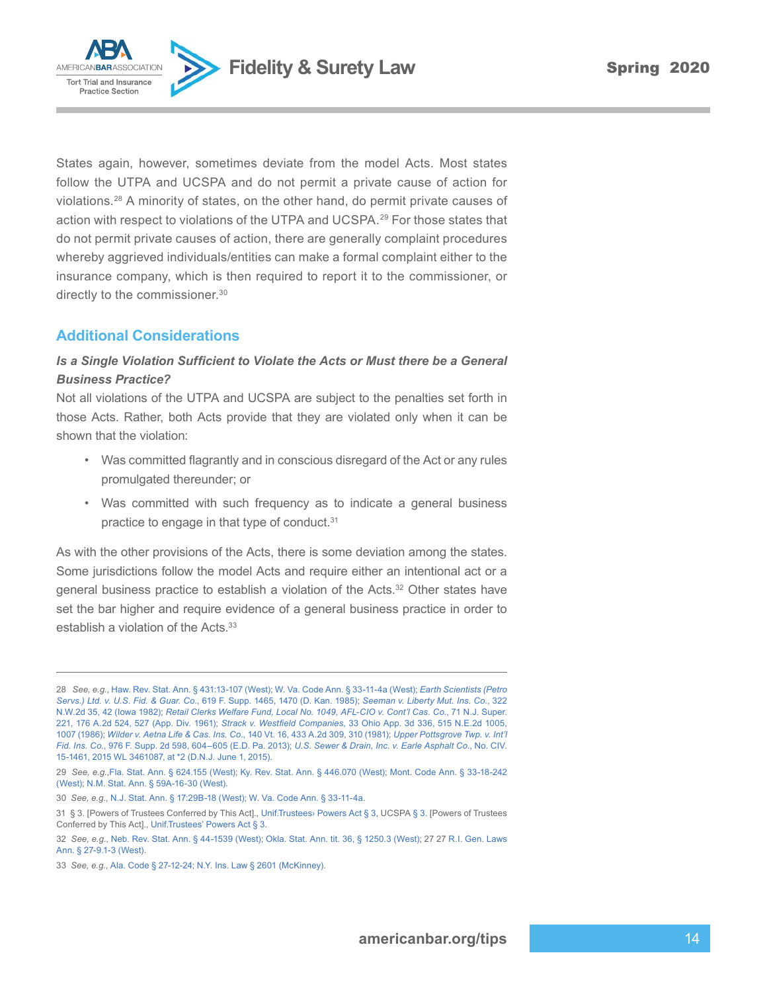**Fidelity & Surety Law Spring 2020** 



States again, however, sometimes deviate from the model Acts. Most states follow the UTPA and UCSPA and do not permit a private cause of action for violations.<sup>28</sup> A minority of states, on the other hand, do permit private causes of action with respect to violations of the UTPA and UCSPA.<sup>29</sup> For those states that do not permit private causes of action, there are generally complaint procedures whereby aggrieved individuals/entities can make a formal complaint either to the insurance company, which is then required to report it to the commissioner, or directly to the commissioner.<sup>30</sup>

## **Additional Considerations**

#### **Is a Single Violation Sufficient to Violate the Acts or Must there be a General** *Business Practice?*

Not all violations of the UTPA and UCSPA are subject to the penalties set forth in those Acts. Rather, both Acts provide that they are violated only when it can be shown that the violation:

- Was committed flagrantly and in conscious disregard of the Act or any rules promulgated thereunder; or
- Was committed with such frequency as to indicate a general business practice to engage in that type of conduct.<sup>31</sup>

As with the other provisions of the Acts, there is some deviation among the states. Some jurisdictions follow the model Acts and require either an intentional act or a general business practice to establish a violation of the Acts.<sup>32</sup> Other states have set the bar higher and require evidence of a general business practice in order to establish a violation of the Acts.<sup>33</sup>

<sup>28</sup> *See, e.g.*, [Haw. Rev. Stat. Ann. § 431:13-107 \(West\)](https://www.westlaw.com/Document/NF403F2D04C5A11DDB03786E014444BA4/View/FullText.html?transitionType=Default&contextData=(sc.Default)&VR=3.0&RS=da3.0); [W. Va. Code Ann. § 33-11-4a \(West\);](https://www.westlaw.com/Document/NCE9A63301CBE11DBB9DDFCDEC3F85F30/View/FullText.html?transitionType=Default&contextData=(sc.Default)&VR=3.0&RS=da3.0) *[Earth Scientists \(Petro](https://www.westlaw.com/Document/I501f90b1557911d9a99c85a9e6023ffa/View/FullText.html?transitionType=Default&contextData=(sc.Default)&VR=3.0&RS=da3.0&fragmentIdentifier=co_pp_sp_345_1470) Servs.) Ltd. v. U.S. Fid. & Guar. Co.*[, 619 F. Supp. 1465, 1470 \(D. Kan. 1985\)](https://www.westlaw.com/Document/I501f90b1557911d9a99c85a9e6023ffa/View/FullText.html?transitionType=Default&contextData=(sc.Default)&VR=3.0&RS=da3.0&fragmentIdentifier=co_pp_sp_345_1470); *[Seeman v. Liberty Mut. Ins. Co.](https://www.westlaw.com/Document/Ia4bbea4ffeb311d9b386b232635db992/View/FullText.html?transitionType=Default&contextData=(sc.Default)&VR=3.0&RS=da3.0&fragmentIdentifier=co_pp_sp_595_42)*, 322 [N.W.2d 35, 42 \(Iowa 1982\)](https://www.westlaw.com/Document/Ia4bbea4ffeb311d9b386b232635db992/View/FullText.html?transitionType=Default&contextData=(sc.Default)&VR=3.0&RS=da3.0&fragmentIdentifier=co_pp_sp_595_42); *[Retail Clerks Welfare Fund, Local No. 1049, AFL-CIO v. Cont'l Cas. Co.](https://www.westlaw.com/Document/I0a8de8ea33e511d98b61a35269fc5f88/View/FullText.html?transitionType=Default&contextData=(sc.Default)&VR=3.0&RS=da3.0&fragmentIdentifier=co_pp_sp_162_527)*, 71 N.J. Super. [221, 176 A.2d 524, 527 \(App. Div. 1961\)](https://www.westlaw.com/Document/I0a8de8ea33e511d98b61a35269fc5f88/View/FullText.html?transitionType=Default&contextData=(sc.Default)&VR=3.0&RS=da3.0&fragmentIdentifier=co_pp_sp_162_527); *Strack v. Westfield Companies*[, 33 Ohio App. 3d 336, 515 N.E.2d 1005,](https://www.westlaw.com/Document/I1e674c18d37911d99439b076ef9ec4de/View/FullText.html?transitionType=Default&contextData=(sc.Default)&VR=3.0&RS=da3.0&fragmentIdentifier=co_pp_sp_578_1007) [1007 \(1986\)](https://www.westlaw.com/Document/I1e674c18d37911d99439b076ef9ec4de/View/FullText.html?transitionType=Default&contextData=(sc.Default)&VR=3.0&RS=da3.0&fragmentIdentifier=co_pp_sp_578_1007); *Wilder v. Aetna Life & Cas. Ins. Co.*[, 140 Vt. 16, 433 A.2d 309, 310 \(1981\)](https://www.westlaw.com/Document/I73ee7950346511d986b0aa9c82c164c0/View/FullText.html?transitionType=Default&contextData=(sc.Default)&VR=3.0&RS=da3.0&fragmentIdentifier=co_pp_sp_162_310); *[Upper Pottsgrove Twp. v. Int'l](https://www.westlaw.com/Document/I331f9c722c1211e3b48bea39e86d4142/View/FullText.html?transitionType=Default&contextData=(sc.Default)&VR=3.0&RS=da3.0&fragmentIdentifier=co_pp_sp_4637_604) Fid. Ins. Co.*[, 976 F. Supp. 2d 598, 604–605 \(E.D. Pa. 2013\)](https://www.westlaw.com/Document/I331f9c722c1211e3b48bea39e86d4142/View/FullText.html?transitionType=Default&contextData=(sc.Default)&VR=3.0&RS=da3.0&fragmentIdentifier=co_pp_sp_4637_604); *[U.S. Sewer & Drain, Inc. v. Earle Asphalt Co.](https://www.westlaw.com/Document/If6849616094711e5a795ac035416da91/View/FullText.html?transitionType=Default&contextData=(sc.Default)&VR=3.0&RS=da3.0&fragmentIdentifier=co_pp_sp_999_2)*, No. CIV. [15-1461, 2015 WL 3461087, at \\*2 \(D.N.J. June 1, 2015\).](https://www.westlaw.com/Document/If6849616094711e5a795ac035416da91/View/FullText.html?transitionType=Default&contextData=(sc.Default)&VR=3.0&RS=da3.0&fragmentIdentifier=co_pp_sp_999_2)

<sup>29</sup> *See, e.g.*,[Fla. Stat. Ann. § 624.155 \(West\);](https://www.westlaw.com/Document/N48C0F0A0B4F611EA8A89B49B14DE105B/View/FullText.html?transitionType=Default&contextData=(sc.Default)&VR=3.0&RS=da3.0) [Ky. Rev. Stat. Ann. § 446.070](https://www.westlaw.com/Document/NCD1DB150A91A11DA8F5EE32367A250AE/View/FullText.html?transitionType=Default&contextData=(sc.Default)&VR=3.0&RS=da3.0) (West); [Mont. Code Ann. § 33-18-242](https://www.westlaw.com/Document/N129D57A0ADDE11DE9281B48006C33613/View/FullText.html?transitionType=Default&contextData=(sc.Default)&VR=3.0&RS=da3.0) [\(West\);](https://www.westlaw.com/Document/N129D57A0ADDE11DE9281B48006C33613/View/FullText.html?transitionType=Default&contextData=(sc.Default)&VR=3.0&RS=da3.0) [N.M. Stat. Ann. § 59A-16-30 \(West\)](https://www.westlaw.com/Document/N13E224C091D911DB9BCF9DAC28345A2A/View/FullText.html?transitionType=Default&contextData=(sc.Default)&VR=3.0&RS=da3.0).

<sup>30</sup> *See, e.g.*, [N.J. Stat. Ann. § 17:29B-18 \(West\)](https://www.westlaw.com/Document/N92E91EC0EF2511D99BC0AF502031754B/View/FullText.html?transitionType=Default&contextData=(sc.Default)&VR=3.0&RS=da3.0); [W. Va. Code Ann. § 33-11-4a.](https://www.westlaw.com/Document/NCE9A63301CBE11DBB9DDFCDEC3F85F30/View/FullText.html?transitionType=Default&contextData=(sc.Default)&VR=3.0&RS=da3.0)

<sup>31</sup> § 3. [Powers of Trustees Conferred by This Act]., [Unif.Trustees› Powers Act § 3](https://www.westlaw.com/Document/N53E50B00025811DD93B594B1C5A4C9CA/View/FullText.html?transitionType=Default&contextData=(sc.Default)&VR=3.0&RS=da3.0), UCSPA [§ 3](https://www.westlaw.com/Document/N53E50B00025811DD93B594B1C5A4C9CA/View/FullText.html?transitionType=Default&contextData=(sc.Default)&VR=3.0&RS=da3.0). [Powers of Trustees Conferred by This Act]., [Unif.Trustees' Powers Act § 3](https://www.westlaw.com/Document/N53E50B00025811DD93B594B1C5A4C9CA/View/FullText.html?transitionType=Default&contextData=(sc.Default)&VR=3.0&RS=da3.0).

<sup>32</sup> *See, e.g.*, Neb. Rev. Stat. Ann. § [44-1539](https://www.westlaw.com/Document/NB1A5FF90AEC511DEA0C8A10D09B7A847/View/FullText.html?transitionType=Default&contextData=(sc.Default)&VR=3.0&RS=da3.0) (West); Okla. Stat. Ann. tit. 36, § [1250.3](https://www.westlaw.com/Document/N8D166760C76D11DB8F04FB3E68C8F4C5/View/FullText.html?transitionType=Default&contextData=(sc.Default)&VR=3.0&RS=da3.0) (West); 27 27 [R.I. Gen. Laws](https://www.westlaw.com/Document/N3713D61033E011DCA31EE572C0396B40/View/FullText.html?transitionType=Default&contextData=(sc.Default)&VR=3.0&RS=da3.0)  [Ann. § 27-9.1-3 \(West\).](https://www.westlaw.com/Document/N3713D61033E011DCA31EE572C0396B40/View/FullText.html?transitionType=Default&contextData=(sc.Default)&VR=3.0&RS=da3.0)

<sup>33</sup> *See, e.g.*, Ala. Code § [27-12-24;](https://www.westlaw.com/Document/NED526B00BADA11DB8E46AD894CF6FAAB/View/FullText.html?transitionType=Default&contextData=(sc.Default)&VR=3.0&RS=da3.0) N.Y. Ins. Law § 2601 [\(McKinney\)](https://www.westlaw.com/Document/NB2C6CB100FC411E9AD7C96F1D0866361/View/FullText.html?transitionType=Default&contextData=(sc.Default)&VR=3.0&RS=da3.0).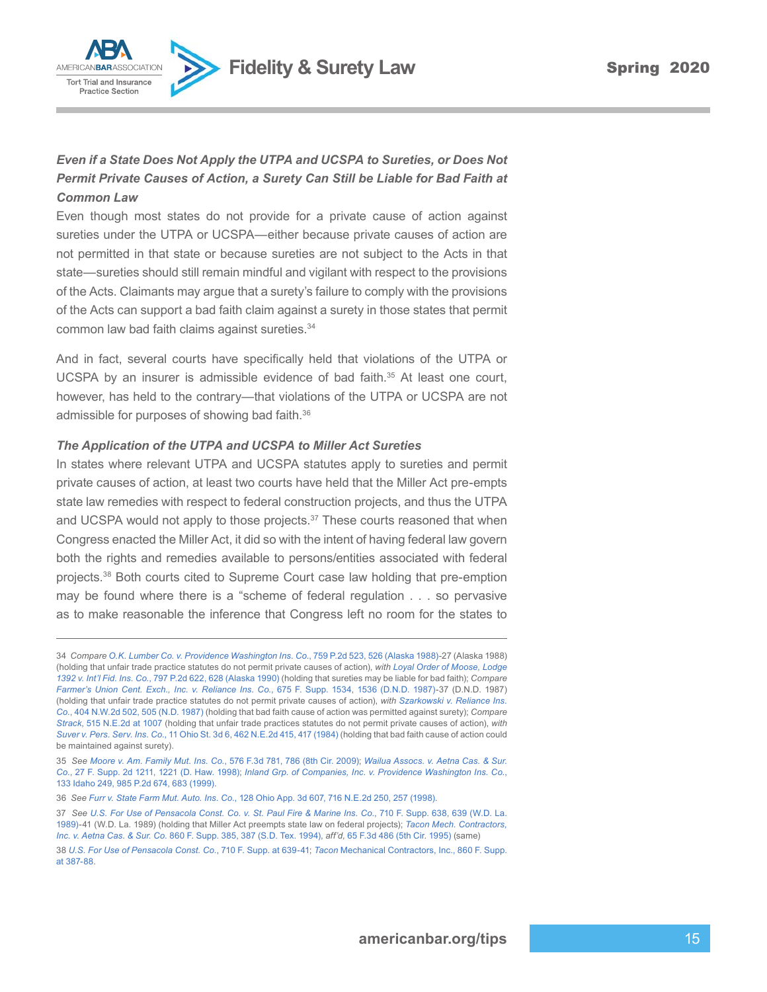

#### *Even if a State Does Not Apply the UTPA and UCSPA to Sureties, or Does Not Permit Private Causes of Action, a Surety Can Still be Liable for Bad Faith at Common Law*

Even though most states do not provide for a private cause of action against sureties under the UTPA or UCSPA—either because private causes of action are not permitted in that state or because sureties are not subject to the Acts in that state—sureties should still remain mindful and vigilant with respect to the provisions of the Acts. Claimants may argue that a surety's failure to comply with the provisions of the Acts can support a bad faith claim against a surety in those states that permit common law bad faith claims against sureties.<sup>34</sup>

And in fact, several courts have specifically held that violations of the UTPA or UCSPA by an insurer is admissible evidence of bad faith. $35$  At least one court, however, has held to the contrary—that violations of the UTPA or UCSPA are not admissible for purposes of showing bad faith.<sup>36</sup>

#### *The Application of the UTPA and UCSPA to Miller Act Sureties*

In states where relevant UTPA and UCSPA statutes apply to sureties and permit private causes of action, at least two courts have held that the Miller Act pre-empts state law remedies with respect to federal construction projects, and thus the UTPA and UCSPA would not apply to those projects. $37$  These courts reasoned that when Congress enacted the Miller Act, it did so with the intent of having federal law govern both the rights and remedies available to persons/entities associated with federal projects.<sup>38</sup> Both courts cited to Supreme Court case law holding that pre-emption may be found where there is a "scheme of federal regulation . . . so pervasive as to make reasonable the inference that Congress left no room for the states to

<sup>34</sup> *Compare [O.K. Lumber Co. v. Providence Washington Ins. Co.](https://www.westlaw.com/Document/I4d0ffda4f3a411d983e7e9deff98dc6f/View/FullText.html?transitionType=Default&contextData=(sc.Default)&VR=3.0&RS=da3.0&fragmentIdentifier=co_pp_sp_661_526)*, 759 P.2d 523, 526 (Alaska 1988)-27 (Alaska 1988) (holding that unfair trade practice statutes do not permit private causes of action), *with [Loyal Order of Moose, Lodge](https://www.westlaw.com/Document/Ib02e5895f79711d983e7e9deff98dc6f/View/FullText.html?transitionType=Default&contextData=(sc.Default)&VR=3.0&RS=da3.0&fragmentIdentifier=co_pp_sp_661_628) 1392 v. Int'l Fid. Ins. Co.*[, 797 P.2d 622, 628 \(Alaska 1990\)](https://www.westlaw.com/Document/Ib02e5895f79711d983e7e9deff98dc6f/View/FullText.html?transitionType=Default&contextData=(sc.Default)&VR=3.0&RS=da3.0&fragmentIdentifier=co_pp_sp_661_628) (holding that sureties may be liable for bad faith); *Compare [Farmer's Union Cent. Exch., Inc. v. Reliance Ins. Co.](https://www.westlaw.com/Document/Ic1cce4b8559c11d9a99c85a9e6023ffa/View/FullText.html?transitionType=Default&contextData=(sc.Default)&VR=3.0&RS=da3.0&fragmentIdentifier=co_pp_sp_345_1536)*, 675 F. Supp. 1534, 1536 (D.N.D. 1987)-37 (D.N.D. 1987) (holding that unfair trade practice statutes do not permit private causes of action), *with [Szarkowski v. Reliance Ins.](https://www.westlaw.com/Document/If75a2a02feb411d99439b076ef9ec4de/View/FullText.html?transitionType=Default&contextData=(sc.Default)&VR=3.0&RS=da3.0&fragmentIdentifier=co_pp_sp_595_505)  Co.*[, 404 N.W.2d 502, 505 \(N.D. 1987\)](https://www.westlaw.com/Document/If75a2a02feb411d99439b076ef9ec4de/View/FullText.html?transitionType=Default&contextData=(sc.Default)&VR=3.0&RS=da3.0&fragmentIdentifier=co_pp_sp_595_505) (holding that bad faith cause of action was permitted against surety); *Compare Strack*[, 515 N.E.2d at 1007](https://www.westlaw.com/Document/I1e674c18d37911d99439b076ef9ec4de/View/FullText.html?transitionType=Default&contextData=(sc.Default)&VR=3.0&RS=da3.0&fragmentIdentifier=co_pp_sp_578_1007) (holding that unfair trade practices statutes do not permit private causes of action), *with Suver v. Pers. Serv. Ins. Co.*[, 11 Ohio St. 3d 6, 462 N.E.2d 415, 417 \(1984\)](https://www.westlaw.com/Document/I653c40b0d38c11d99439b076ef9ec4de/View/FullText.html?transitionType=Default&contextData=(sc.Default)&VR=3.0&RS=da3.0&fragmentIdentifier=co_pp_sp_578_417) (holding that bad faith cause of action could be maintained against surety).

<sup>35</sup> *See Moore v. Am. Family Mut. Ins. Co.*[, 576 F.3d 781, 786 \(8th Cir. 2009\);](https://www.westlaw.com/Document/I5310e25a88e411de8bf6cd8525c41437/View/FullText.html?transitionType=Default&contextData=(sc.Default)&VR=3.0&RS=da3.0&fragmentIdentifier=co_pp_sp_506_786) *[Wailua Assocs. v. Aetna Cas. & Sur.](https://www.westlaw.com/Document/I0b926127568211d9a99c85a9e6023ffa/View/FullText.html?transitionType=Default&contextData=(sc.Default)&VR=3.0&RS=da3.0&fragmentIdentifier=co_pp_sp_4637_1221)  Co.*[, 27 F. Supp. 2d 1211, 1221 \(D. Haw. 1998\)](https://www.westlaw.com/Document/I0b926127568211d9a99c85a9e6023ffa/View/FullText.html?transitionType=Default&contextData=(sc.Default)&VR=3.0&RS=da3.0&fragmentIdentifier=co_pp_sp_4637_1221); *[Inland Grp. of Companies, Inc. v. Providence Washington Ins. Co.](https://www.westlaw.com/Document/Id17ff2c6f55c11d98ac8f235252e36df/View/FullText.html?transitionType=Default&contextData=(sc.Default)&VR=3.0&RS=da3.0&fragmentIdentifier=co_pp_sp_661_683)*, [133 Idaho 249, 985 P.2d 674, 683 \(1999\)](https://www.westlaw.com/Document/Id17ff2c6f55c11d98ac8f235252e36df/View/FullText.html?transitionType=Default&contextData=(sc.Default)&VR=3.0&RS=da3.0&fragmentIdentifier=co_pp_sp_661_683).

<sup>36</sup> *See Furr v. State Farm Mut. Auto. Ins. Co.*[, 128 Ohio App. 3d 607, 716 N.E.2d 250, 257 \(1998\)](https://www.westlaw.com/Document/I2f735dbcd3c811d983e7e9deff98dc6f/View/FullText.html?transitionType=Default&contextData=(sc.Default)&VR=3.0&RS=da3.0&fragmentIdentifier=co_pp_sp_578_257).

<sup>37</sup> *See [U.S. For Use of Pensacola Const. Co. v. St. Paul Fire & Marine Ins. Co.](https://www.westlaw.com/Document/Ic7fa78bc55b611d997e0acd5cbb90d3f/View/FullText.html?transitionType=Default&contextData=(sc.Default)&VR=3.0&RS=da3.0&fragmentIdentifier=co_pp_sp_345_639)*, 710 F. Supp. 638, 639 (W.D. La. [1989\)](https://www.westlaw.com/Document/Ic7fa78bc55b611d997e0acd5cbb90d3f/View/FullText.html?transitionType=Default&contextData=(sc.Default)&VR=3.0&RS=da3.0&fragmentIdentifier=co_pp_sp_345_639)-41 (W.D. La. 1989) (holding that Miller Act preempts state law on federal projects); *[Tacon Mech. Contractors,](https://www.westlaw.com/Document/I7dd68617562511d9a99c85a9e6023ffa/View/FullText.html?transitionType=Default&contextData=(sc.Default)&VR=3.0&RS=da3.0&fragmentIdentifier=co_pp_sp_345_387)  Inc. v. Aetna Cas. & Sur. Co.* [860 F. Supp. 385, 387 \(S.D. Tex. 1994\)](https://www.westlaw.com/Document/I7dd68617562511d9a99c85a9e6023ffa/View/FullText.html?transitionType=Default&contextData=(sc.Default)&VR=3.0&RS=da3.0&fragmentIdentifier=co_pp_sp_345_387), *aff'd,* [65 F.3d 486 \(5th Cir. 1995\)](https://www.westlaw.com/Document/Ia4e23e7991bc11d993e6d35cc61aab4a/View/FullText.html?transitionType=Default&contextData=(sc.Default)&VR=3.0&RS=da3.0) (same)

<sup>38</sup> *[U.S. For Use of Pensacola Const. Co.](https://www.westlaw.com/Document/Ic7fa78bc55b611d997e0acd5cbb90d3f/View/FullText.html?transitionType=Default&contextData=(sc.Default)&VR=3.0&RS=da3.0&fragmentIdentifier=co_pp_sp_345_639)*, 710 F. Supp. at 639-41; *Tacon* [Mechanical Contractors, Inc., 860 F. Supp.](https://www.westlaw.com/Document/I7dd68617562511d9a99c85a9e6023ffa/View/FullText.html?transitionType=Default&contextData=(sc.Default)&VR=3.0&RS=da3.0&fragmentIdentifier=co_pp_sp_345_387)  [at 387](https://www.westlaw.com/Document/I7dd68617562511d9a99c85a9e6023ffa/View/FullText.html?transitionType=Default&contextData=(sc.Default)&VR=3.0&RS=da3.0&fragmentIdentifier=co_pp_sp_345_387)-88.